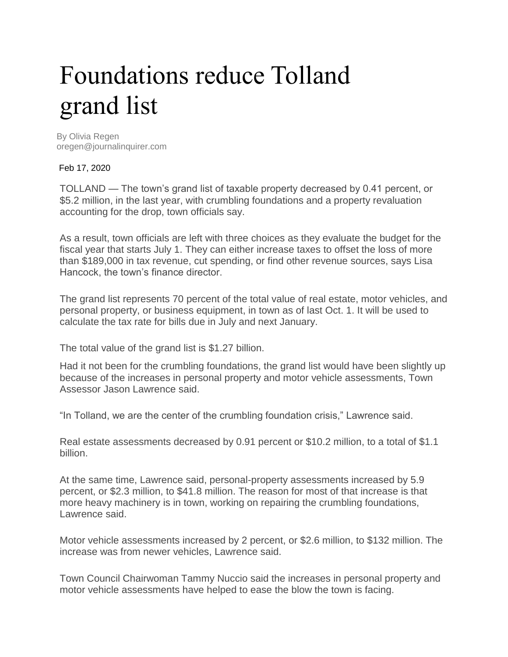## Foundations reduce Tolland grand list

By Olivia Regen oregen@journalinquirer.com

Feb 17, 2020

TOLLAND — The town's grand list of taxable property decreased by 0.41 percent, or \$5.2 million, in the last year, with crumbling foundations and a property revaluation accounting for the drop, town officials say.

As a result, town officials are left with three choices as they evaluate the budget for the fiscal year that starts July 1. They can either increase taxes to offset the loss of more than \$189,000 in tax revenue, cut spending, or find other revenue sources, says Lisa Hancock, the town's finance director.

The grand list represents 70 percent of the total value of real estate, motor vehicles, and personal property, or business equipment, in town as of last Oct. 1. It will be used to calculate the tax rate for bills due in July and next January.

The total value of the grand list is \$1.27 billion.

Had it not been for the crumbling foundations, the grand list would have been slightly up because of the increases in personal property and motor vehicle assessments, Town Assessor Jason Lawrence said.

"In Tolland, we are the center of the crumbling foundation crisis," Lawrence said.

Real estate assessments decreased by 0.91 percent or \$10.2 million, to a total of \$1.1 billion.

At the same time, Lawrence said, personal-property assessments increased by 5.9 percent, or \$2.3 million, to \$41.8 million. The reason for most of that increase is that more heavy machinery is in town, working on repairing the crumbling foundations, Lawrence said.

Motor vehicle assessments increased by 2 percent, or \$2.6 million, to \$132 million. The increase was from newer vehicles, Lawrence said.

Town Council Chairwoman Tammy Nuccio said the increases in personal property and motor vehicle assessments have helped to ease the blow the town is facing.